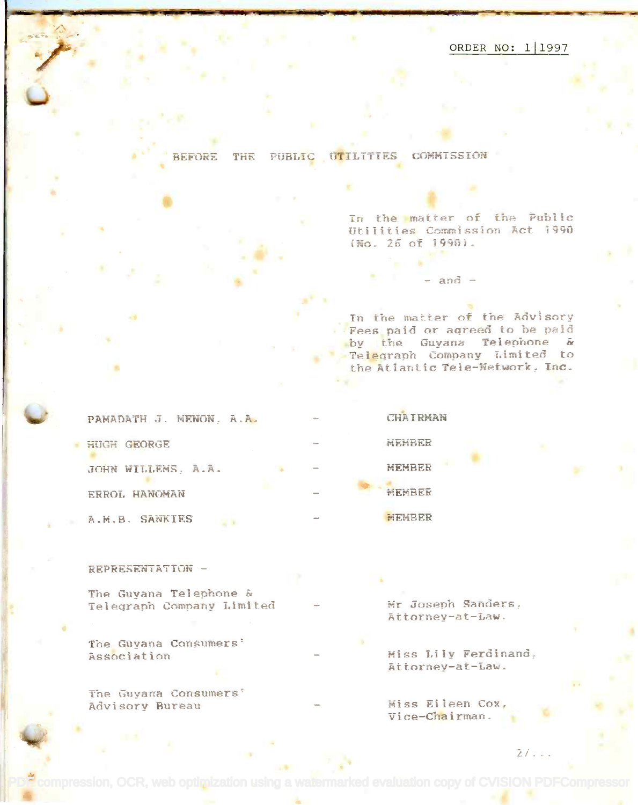ORDER NO: 1 1997

## **THE** PUBLIC UTILITIES COMMISSION **BEFORE**

In the matter of the Public Utilities Commission Act 1990 (No. 26 of 1990).

In the matter of the Advisory Fees paid or agreed to be paid by the Guyana Telephone & Telegraph Company Limited to the Atlantic Tele-Network, Inc.

 $and -$ 

| PAMADATH J. MENON, A.A. | <b>CHATRMAN</b> |
|-------------------------|-----------------|
| HUGH GEORGE             | MEMBER          |
| JOHN WILLEMS, A.A.      | <b>MEMBER</b>   |
| ERROL HANOMAN           | MEMBER          |
| A.M.B. SANKIES          | MEMBER          |

REPRESENTATION -

The Guyana Telephone & Telegraph Company Limited

The Guyana Consumers' Association

The Guyana Consumers' Advisory Bureau

Mr Joseph Sanders, Attorney-at-Law.

Miss Lily Ferdinand, Attorney-at-Law.

 $21.1.$ 

Miss Eileen Cox, Vice-Chairman.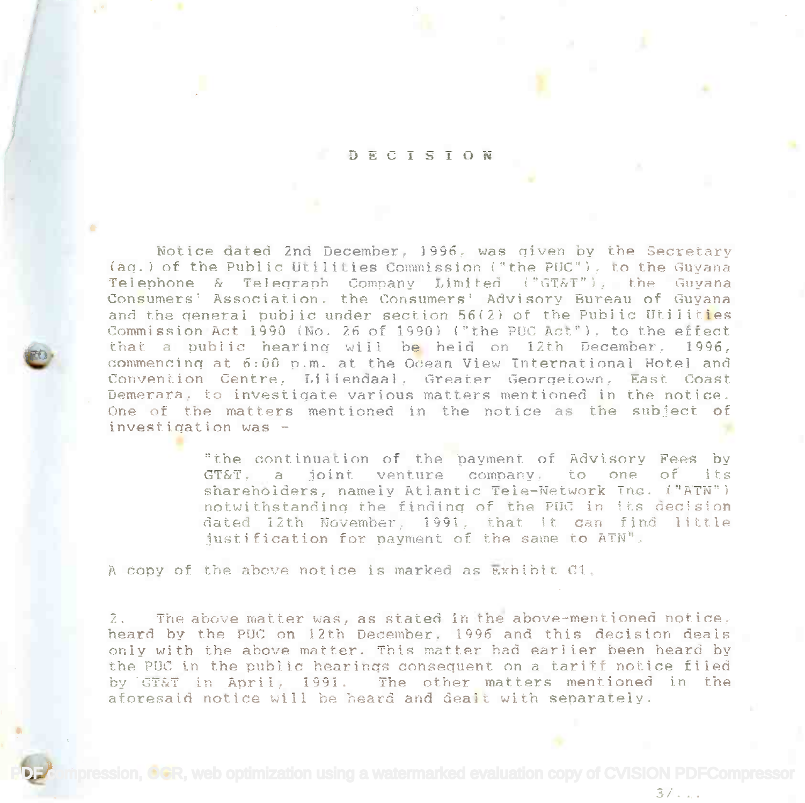## **BECTSTON**

Notice dated 2nd December, 1996, was given by the Secretary (aq.) of the Public Utilities Commission ("the PUC"), to the Guyana Telephone & Telegraph Company Limited ("GT&T"), the Guvana Consumers' Association. the Consumers' Advisory Bureau of Guyana and the general public under section 56(2) of the Public Utilities Commission Act 1990 (No. 26 of 1990) ("the PUC Act"), to the effect that a public hearing will be held on 12th December, 1996, commencing at 6:00 p.m. at the Ocean View International Hotel and Convention Centre, Liliendaal, Greater Georgetown, East Coast Demerara, to investigate various matters mentioned in the notice. One of the matters mentioned in the notice as the subject of investigation was -

> "the continuation of the payment of Advisory Fees by GT&T, a ioint venture company, to one of its shareholders, namely Atlantic Tele-Network Inc. ("ATN") notwithstanding the finding of the PUC in its decision dated 12th November. 1991, that it can find little justification for payment of the same to ATN".

A copy of the above notice is marked as Exhibit C1.

2. The above matter was, as stated in the above-mentioned notice. heard by the PUC on 12th December. 1996 and this decision deals only with the above matter. This matter had earlier been heard by the PUC in the public hearings consequent on a tariff notice filed by GT&T in April, 1991. The other matters mentioned in the aforesaid notice will be heard and dealt with separately.

inression. ●●R, web optimization using a watermarked evaluation copy of CVISION PDFCompressor

 $31...$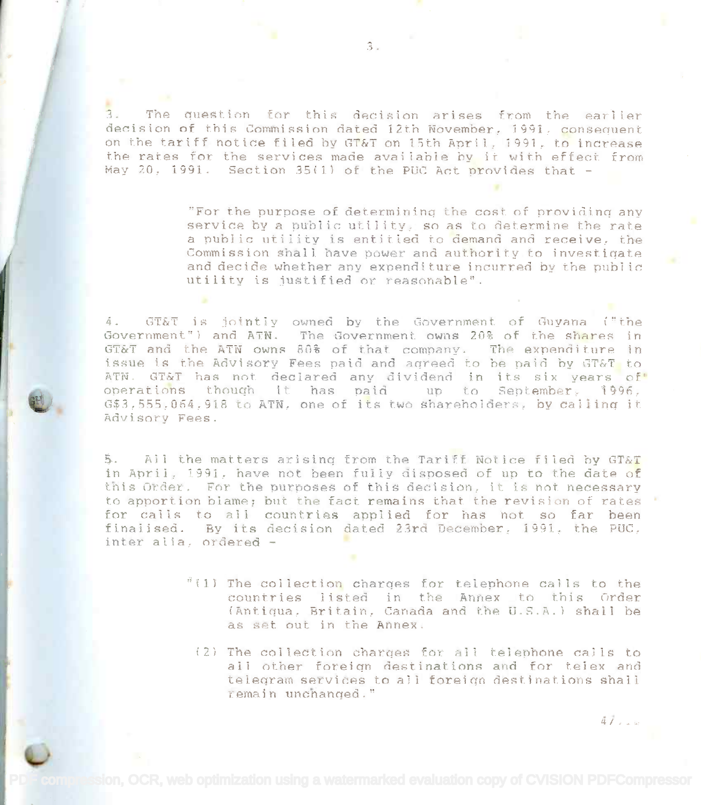3. The question for this decision arises from the earlier decision of this Commission dated 12th November, 1991, consequent dec~isi()n **of fflis l-:nmluissir}n** dnt~(l **tt.t,n** Nc~v·emher.r **19Q1." cc>nsAquent** on the tariff notice filed by GT&T on 15th April, 1991, to increase the rates for the services made available by it with effect from May 20, 1991. Section 35(1) of the PUC Act provides that -

> "For the purpose of determining the cost of providing any service by a public utility, so as to determine the rate a public UtliltV is entitled to demand and receive, the **<sup>a</sup> puhlic l,ltility is entitled to demand and receive! the** Commission shall have power and authority to investigate  $\alpha$  interest the shart have power and addribitity to investigate utility is justified or reasonable".

 $4.$  GT&T is jointly owned by the Government of Guyana ("the Government") and ATN. The Government owns 20% of the shares in GT&T and the ATN owns 80% of that. company. The expenditure in issue is the Advisory Fees paid and agreed to be paid by GT&T to issue is the Advisory Fees paid and aqreed to he naid hy GT&T to  $ATN$ . GT&T has not declared any dividend in its six years of' operations though it has paid  $G$3,555,064,918$  to ATN, one of its two shareholders, by calling it Advisory Fees. Anvi scyry Fees. up to September, 1996.

5. Ail the matters arising from the Tariff Notice filed by GT&T S. A 11 the matters arisinq from the Tariff Norlce fi len hy GT&T in April, 1991, have not been fully disposed of up to the date of in April **lqql! have not been fllliy disposed of up to the date of** this Order. For the purposes of this decision, it is not necessary to apportion blame; but the fact remains that the revision of rates to apportion blame; but the fact remains that the revision of rates to apportion brame, but the ract remains that the revision of rates<br>for calls to all countries applied for has not so far been finalised. By its decision dated 23rd December, 1991, the PUC, inter alia, ordered -

- <sup>#</sup>(1) The collection charges for telephone calls to the countries listed in the Annex to this Order **(Antiqua, Britain, Canada and the U.S.A.)** shall be as set out in the Annex. **as set (Jut in the Annex.**
- (2) The collection charges for all telephone calls to all other foreign destinations and for telex and telegram services to all foreign destinations shall remain unchanged." rerna i<sup>n</sup> llnc:hanqeo."

4/...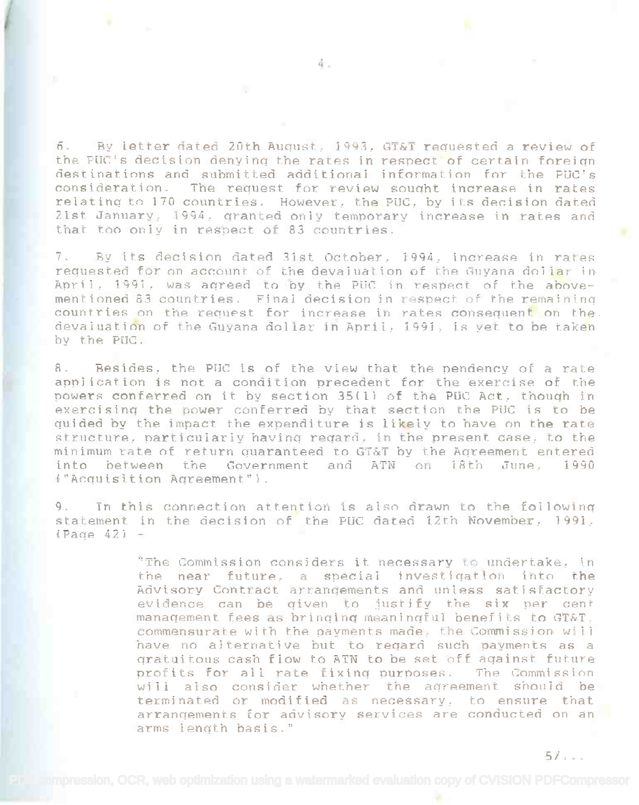6. By letter dated 20th August, 1993, GT&T requested a review of the PUC's decision denying the rates in respect of certain foreign destinations and submitted additional information for the PUC's consideration. The request for review sought increase in rates relating to 170 countries. However, the PUC, by its decision dated 21st January, 1994, granted only temporary increase in rates and that too only in respect of 83 countries.

7. By its decision dated 31st October, 1994, increase in rates requested for on account of the devaluation of the Guyana dollar in April, 1991, was agreed to by the PUC in respect of the abovementioned 83 countries. Final decision in respect of the remaining countries on the request for increase in rates consequent on the. devaluation of the Guyana dollar in April, 1991, is yet to be taken by the PUC.

8. Besides, the PUC is of the view that the pendency of a rate application is not a condition precedent for the exercise of the powers conferred on it by section 35(1) of the PUC Act, though in exercising the power conferred by that section the PUC is to be exerciantly the power conterted by that section the Foc is to be<br>quided by the impact the expenditure is likely to have on the rate structure, particularly having regard, in the present case, to the minimum rate of return quaranteed to GT&T by the Agreement entered into between the Government and ATN on 18th June, 1990 ("Acquisition Agreement").

9. In this connection attention is also drawn to the following statement in the decision of the PUC dated 12th November, 1991, (Paqe 42) -

> "The Commission considers it necessary to undertake, in the near future, a special investigation into the Advisory Contract arrangements and unless satisfactory evidence can be qiven to justify the six per cent manaqement fees as bringing meaningful benefits to GT&T, management tees as bringing meaningtur benefits to Gial, have no alternative but to regard such payments as a gratuitous cash flow to ATN to be set off aaainst future profits for all rate fixing purposes. The Commission profits for all rate fixing purposes. The Commission<br>will also consider whether the agreement should be terminated or modified as necessary, to ensure that arrangements for advisory services are conducted on an arms length basis." arms ienq'h basis.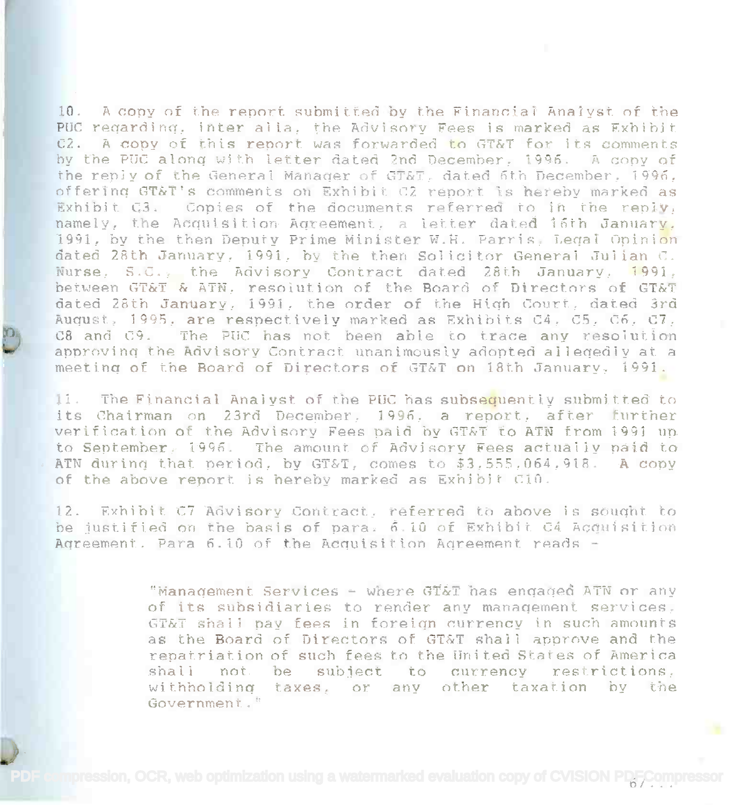10. A copy of the report submitted by the Financial Analyst of the PUC regarding, inter alla, the Advisory Fees is marked as Exhibit C2. A copy of this report was forwarded to GT&T for its comments by the PUC along with letter dated 2nd December, 1996. A copy of the reply of the General Manager of GT&T, dated 6th December, 1996, offering GT&T's comments on Exhibit C2 report is hereby marked as Exhibit  $\texttt{C3.}$  Copies of the documents referred to in the reply, namely, the Acquisition Agreement, a letter dated 16th January, 1991, by the then Deputy Prime Minister W.H. Parris, Legal Opinion dated 28th January, 1901, by the then Solicitor General Julian C. Nurse, S.C., the Advisory Contract dated 28th January, 1991, between GT&T & ATN, resolution of the Board of Directors of GT&T between dial a Ain, respitation of the Board of Birectors of Giar<br>dated 28th January, 1991, the order of the High Court, dated 3rd Auqust, 1995, are respectively marked as Exhibits C4, C5, C6, C7, O<sub>1</sub> C8 and C9. The PUC has not been able to trace any resolution approving the Advisory Contract unanimously adopted allegedly at a meeting of the Board of Directors of GT&T on 18th January, 1991.

11. The Financial Analyst of the PUC has subsequently submitted to Its the Financial Analyst of the Fut has subsequently submitted to<br>its Chairman on 23rd December, 1996, a report, after further verification of the Advisory Fees paid by GT&T to ATN from 1991 up to September, 1996. The amount of Advisory Fees actually paid to ATN during that period, by GT&T, comes to \$3,555,064,918. A copy of the above report is hereby marked as Exhibit C10.

12. Exhibit C7 Advisory Contract, referred to above is scught to be justified on the basis of para. 6.10 of Exhibit C4 Acquisition be justified on the Dasis Of para: 0.10 Of Exhibit C4 Acquisition<br>Agreement. Para 6.10 of the Acquisition Agreement reads -

> "Management Services - where  $\vec{\sigma}$  . Thas engaged ATN or any of its subsidiaries to render any management services, or its subsidiaries to render any management services,<br>GT&T shall pay fees in foreign currency in such amounts as the Board of Directors of GT&T shall approve and the repatriation of such fees to the United States of America shall not be subject to currency restrictions, withholding taxes, or any other taxation by the Government.<sup>"</sup>

mpression, OCR, web optimization using a watermarked evaluation copy of CVISION PDFCompressor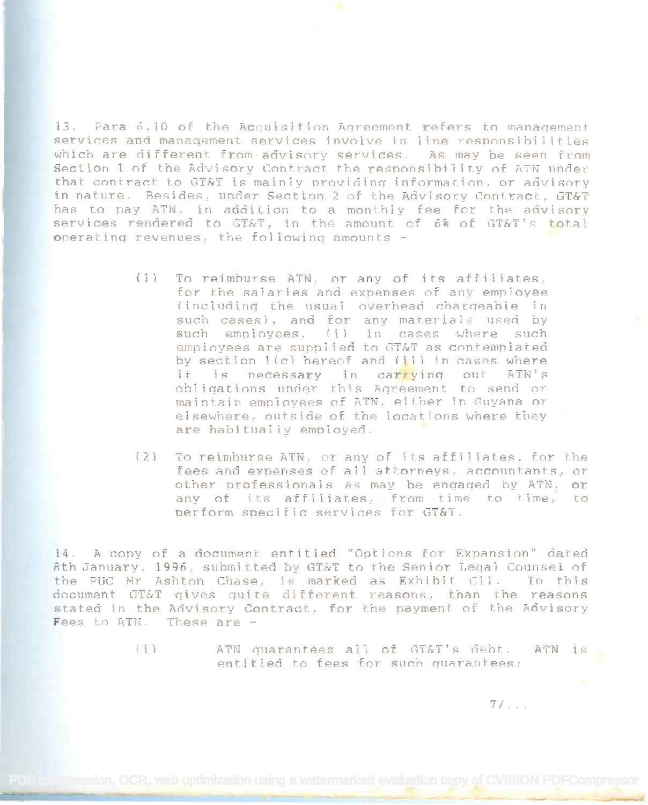13. Para 6.10 of the Acquisition Agreement refers to management 13. Faid 0.10 Of the Adguisition Agreement ieters to management which are different from advisory services. As may be seen from which are different from advisory services. As may be seen from that contract to GT&T is mainly providing information, or advisory in nature. Besides, under Section 2 of the Advisory Contract, GT&T  $n = 5$  **pay** ATN, in addition to a monthly fee for the advisory nas to pay Arny in addition to a monthly lee for the duvisory<br>services rendered to GT&T, in the amount of 6% of GT&T's total operating revenues, the following amounts np~rafinq **revenlleR! the fal iowinq** RmOtlnt~ -

- $(1)$  To reimburse ATN, or any of its affiliates, for the salaries and expenses of any employee (including the usual overhead chargeable in such cases), and for any materials used by such employees, (i) in cases where such employees are supplied to GT&T as contemplated by section 1(c) hereof and (ii) in cases where it is necessary in carrying out ATM's obligations under this Agreement to send or maintain employees of ATN, either in Guyana or maintain smployees of hiny erundi in duyama of are habitually employed.
- (2) To reimburse ATN, or any of lis affiliates, for the fees and expenses of all attorneys, accountants, or other professionals as may be engaged by ATN, or any of its affiliates, from time to time, perform specific services for GT&T. it o

14. A copy of a document entitled "Options for Expansion" dated 8th January, 1996, submitted by GT&T to the Senior Legal Counsel of the PUC Mr Ashton Chase, is marked as Exhibit C11. In this document GT&T gives quite different reasons, than the reasons stated in the Advisory Contract, for the payment of the Advisory **stat.ed in the Arlvi snry C;ontract! for** AClvi sory Fees to ATN. These are -

> ATN quarantees all of GT&T's debt. ATN is  $\begin{array}{ccc} \frac{1}{2} & \frac{1}{2} & \frac{1}{2} & \frac{1}{2} \end{array}$ entitled to fees for such guarantees;

> > $77...$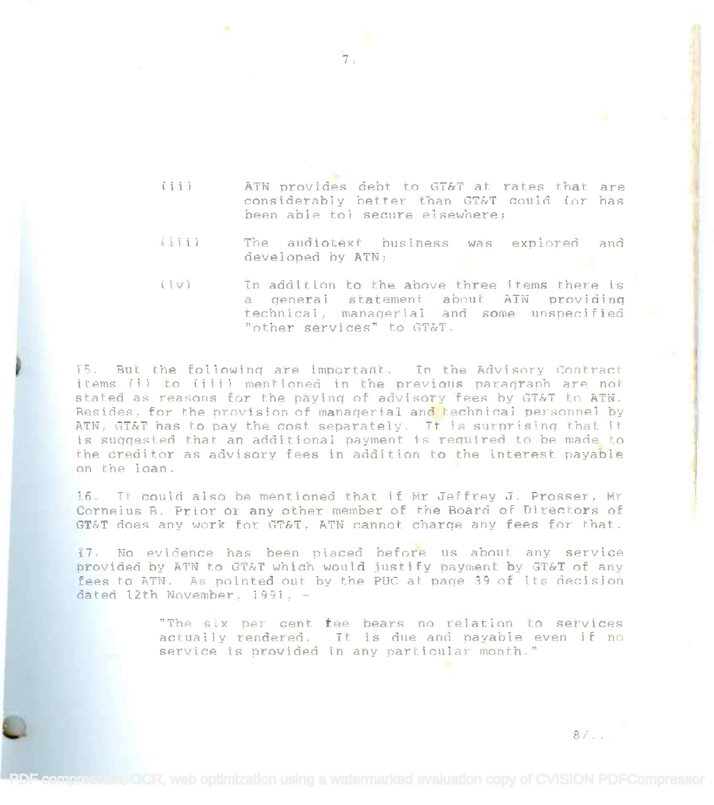$(i)$ ATN provides debt to GT&T at rates that are considerably better than GT&T could for has been able to) secure elsewhere:

 $\overline{7}$ .

- 41111 The audiotext business was explored and developed by ATN:
- $(iv)$ In addition to the above three items there is a general statement about ATN providing technical, managerial and some unspecified "other services" to GT&T.

15. But the following are important. In the Advisory Contract items (i) to (iii) mentioned in the previous paradraph are not stated as reasons for the paying of advisory fees by GT&T to ATN. Resides, for the provision of managerial and technical personnel by ATN, GT&T has to pay the cost separately. It is surprising that it is suggested that an additional payment is required to be made to the creditor as advisory fees in addition to the interest payable on the loan.

16. It could also be mentioned that if Mr Jeffrey J. Prosser, Mr Cornelus B. Prior or any other member of the Board of Directors of GT&T does any work for GT&T. ATN cannot charge any fees for that.

17, No evidence has been placed before us about any service provided by ATN to GT&T which would justify payment by GT&T of any fees to ATN. As pointed out by the PUC at page 39 of its decision dated 12th November. 1991. -

> "The six per cent fée bears no relation to services actually rendered. It is due and payable even if no service is provided in any particular month."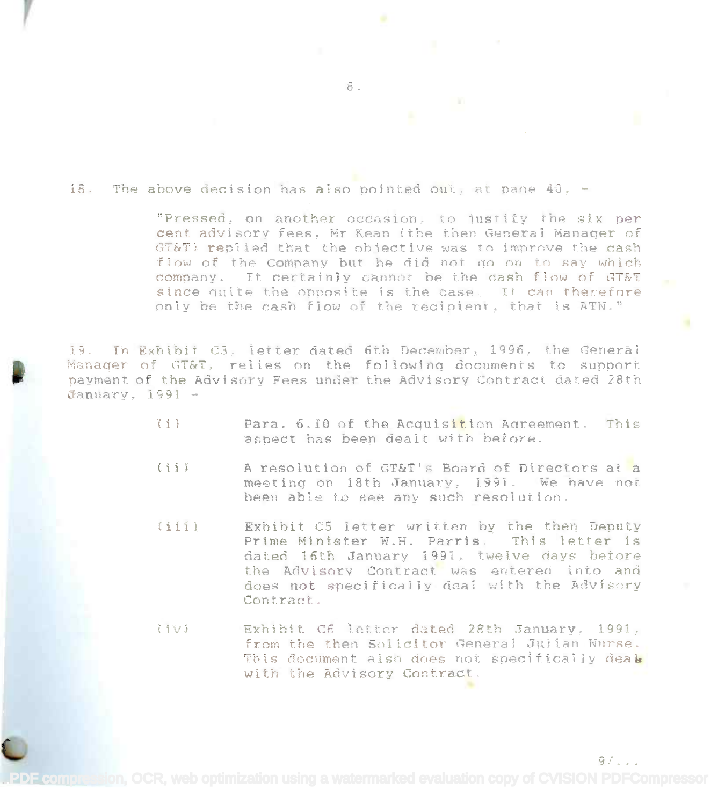18. The above decision has also pointed out, at page  $40. -$ 

"Pressed, on another occasion, to justify the six per  $\alpha$  cent advisory fees, Mr Kean ithe then General Manager of GT&T) replied that the objective was to improve the cash flow of the Company but he did not go on to say which **flow of the** (:om~")any **hllY. l1A f1id nr)l (!() (}n i-c) SCiV vJt11(:rl** company. it certainly cannot he the cash flow of GT&T since quite the opposite is the case. It can therefore since quite the opposite is the case. It can therefore

19. In Exhibit C3, letter dated 6th December, 1996, the General Manager of GT&T, relies on the following documents to support payment of the Advisory Fees under the Advisory Contract dated 28th January, 1991 -

- (i) Para. 6.10 of the Acquisition Agreement. This as has been dealt with before. aspect has been dealt with before.
- (ii) A resolution of GT&T's Board of Directors at a meeting on 18th January, 1991. We have not been able to see any such resolution. heen able to see any such resolution.
- Exhibit C5 letter written by the then Deputy  $(111)$ Prime Minister W.H. Parris. This letter is dated 16th January 1991, twelve days before the Advisory Contract was entered into and does not specifically deal with the Advisory Contract.
- (iv) Exhibit C6 letter dated 28th January. 1991, from the then Solicitor General Julian Nurse. Trom the then soricitor beneral outram warse.<br>This document also does not specifically deal. with the Advisory Contract.

 $9/222$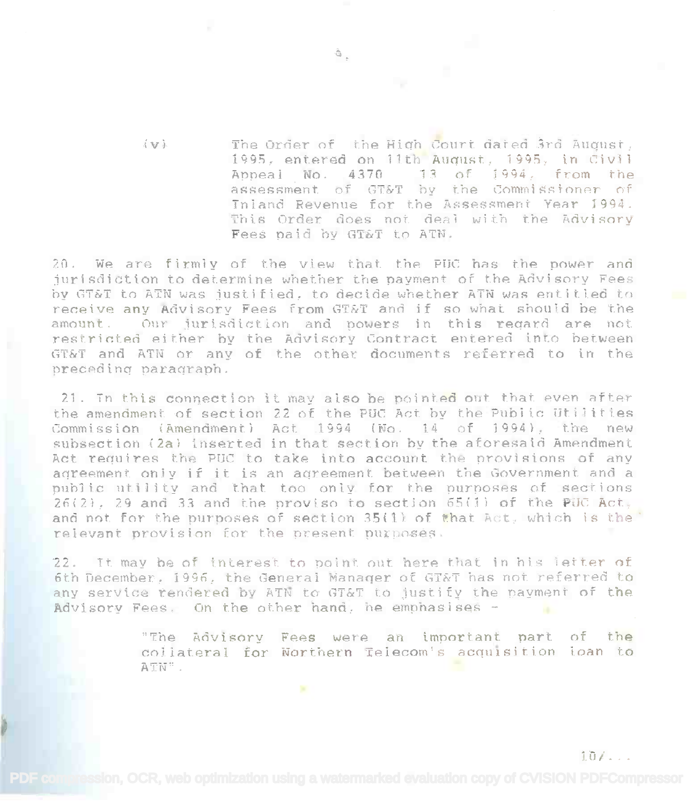イマン The Order of the High Court dated 3rd August. 1995, entered on ilth August. 1995, in Civil No. 4370 13 of 1994, from the Appeal assessment of GT&T by the Commissioner of Inland Revenue for the Assessment Year 1994. This Order does not deal with the Advisory Fees paid by GT&T to ATN.

20. We are firmly of the view that the PUC has the power and jurisdiction to determine whether the payment of the Advisory Fees by GT&T to ATN was justified, to decide whether ATN was entitled to receive any Advisory Fees from GT&T and if so what should be the amount. Our jurisdiction and powers in this regard are not restricted either by the Advisory Contract entered into between GT&T and ATN or any of the other documents referred to in the preceding paragraph.

 $\hat{\phi}$  .

21. In this connection it may also be pointed out that even after the amendment of section 22 of the PUC Act by the Public Utilities Commission (Amendment) Act 1994 (No. 14 of 1994), the new subsection (2a) inserted in that section by the aforesaid Amendment Act requires the PUC to take into account the provisions of any adreement only if it is an adreement between the Government and a public utility and that too only for the purposes of sections 26(2), 29 and 33 and the proviso to section 65(1) of the PUC Act, and not for the purposes of section 35(1) of that Act, which is the relevant provision for the present purposes.

22. It may be of interest to point out here that in his letter of 6th December, 1996, the General Manager of GT&T has not referred to any service rendered by ATN to GT&T to justify the payment of the Advisory Fees. On the other hand, he emphasises -

> $"$ The Advisory Fees were an important part of the collateral for Northern Telecom's acquisition loan to ATN".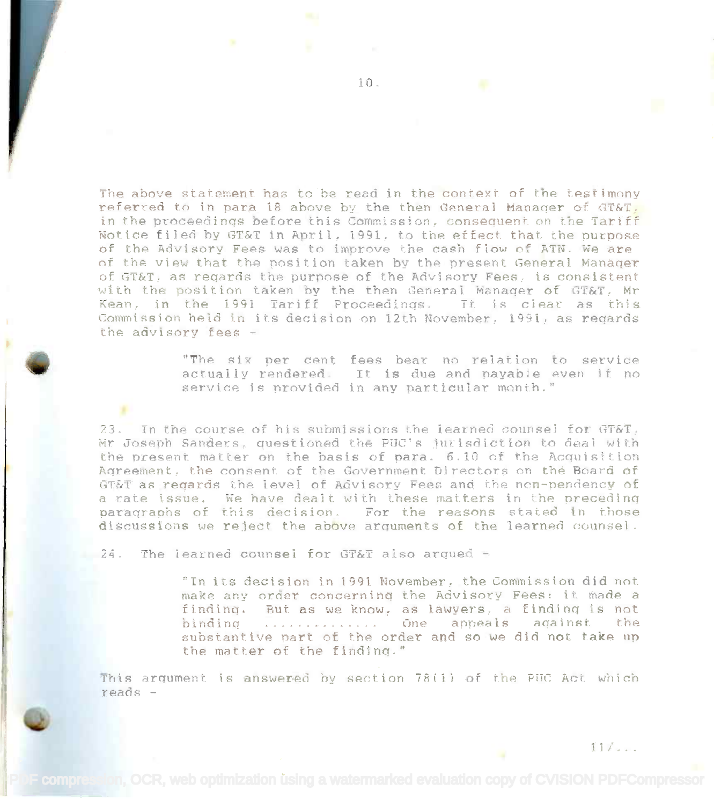The above statement has to be read in the context of the test imony referred to in para 18 above by the then General Manager of GT&T, in the proceedings before this Commission, consequent on the Tariff Notice filed by GT&T in April, 1991, to the effect that the purpose of the Advisory Fees was to improve the cash flow of ATN. We are of the view that the position taken by the present General Manager of GT&T, as regards the purpose of the Advisory Fees, is consistent with the position taken by the then General Manager of GT&T, Mr Kean, in the 1991 Tariff Proceedings. It is clear as this Commission held in its decision on 12th November, 1991, as regards the advisory fees -

> "The six per cent fees bear no relation to service actually rendered. It is due and payable even if no service is provided in any particular month."

23. In the course of his submissions the learned counsel for GT&T, Mr Joseph Sanders, questioned the PUC's jurisdiction to deal with the present matter on the basis of para. 6.10 of the Acquisition Aqreement, the consent of the Government Directors on the Board of Auteement, the consent of the dovernment birectors on the board of<br>GT&T as regards the level of Advisory Fees and the non-pendency of a rate issue. We have dealt with these matters in the precedinq paragraphs of this decision. For the reasons stated in those discussions we reject the above arguments of the learned counsel.

 $24.$  The learned counsel for GT&T also arqued  $\sim$ 

 $\degree$ In its decision in 1991 November, the Commission did not make any order concerning the Advisory Fees: it made a finding. put as we know, as lawyers, a finding is not findinq. Rut as we know, as lawyers, a findinq is not binding .............. One appeals against the substantive part of the order and so we did not take up the matter of the finding."

This arqument is answered by section 78(1) of the PUC Act which reads - reads -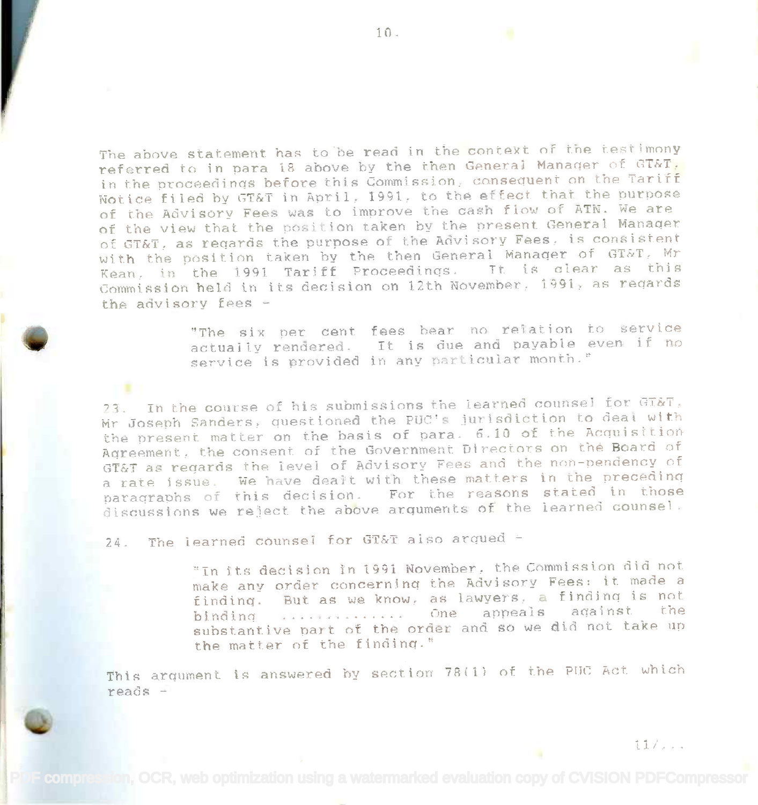The above statement has to be read in the context of the testimony referred to in para 18 above by the then General Manager of GT&T, in the proceedings before this Commission, consequent on the Tariff Notice filed by GT&T in April, 1991, to the effect that the purpose **of** the Advisory Fees was to improve the cash flow of ATN. We are of the view that the position taken by the present General Manager of GT&T, as regards the purpose of the Advisory Fees, is consistent with the position taken by the then General Manager of  $\text{GTAT}_i$  Mr  $Kean$ , in the 1991 Tariff Proceedings. It is clear as this Commission held in its decision on 12th November, 1991, as regards the advisory fees - the advisory fees -

10.

"The six per cent fees bear no relation to service "The six per cent fees bear no refation to service<br>actually rendered. It is due and payable even if no service is provided in any particular month."

 $23.$  In the course of his submissions the learned counsel for GT&T, Mr Joseph Sanders, questioned the PUC's jurisdiction to deal with the present matter on the basis of para. 6.10 of the Acquisition the present mercer on the Government Directors on the Board of diagrammatic, and is the level of Advisory Fees and the non-pendency of a rate issue. We have dealt with these matters in the preceding paragraphs of this decision. For the reasons stated in those discussions we reject the above arguments of the learned counsel.

24. The learned counsel for GT&T also arqued  $\pm$ 

 $^{\circ}$  In its decision in 1991 November. the Commission did not make any order concerning the Advisory Fees: it made a finding. But as we know, as lawyers, a finding is not binding Lie i no i one appeals against the substantive part of the order and so we did not take up the matter of the finding."

This arqument is answered by section 78(1) of the PUC Act which reads - reads -

エエアレレー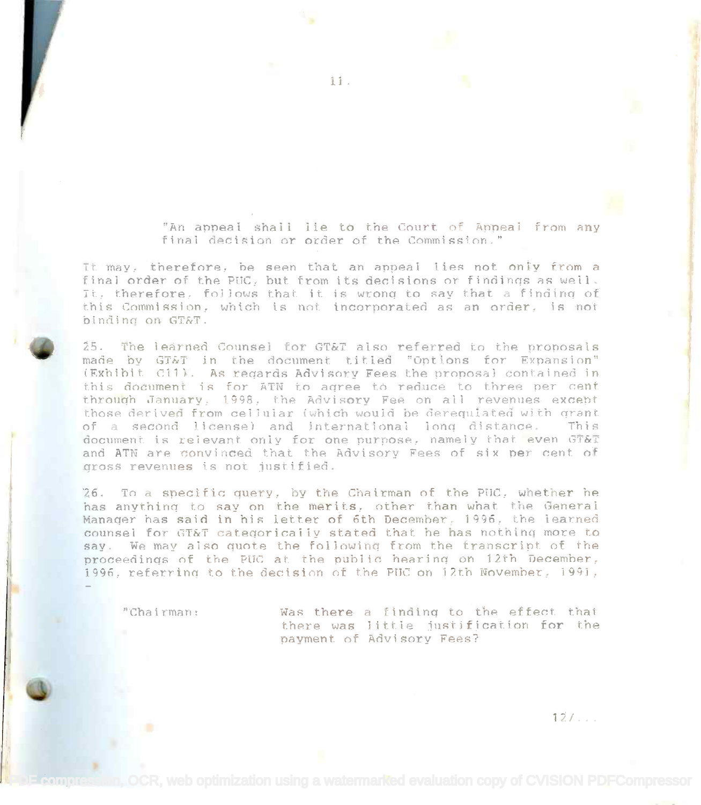$^*$ An appeal shall lie to the Court of Appeal from any final decision or order of the Commission."

It may, therefore, be seen that an appeal lies not only from a final order of the PUC, but from its decisions or findings as well. It, therefore, follows that it is wrong to say that a finding of this Commission, which is not incorporated as an order, is not binding on GT&T. <sup>h</sup>i**<sup>n</sup>(1 <sup>i</sup> <sup>n</sup> <sup>q</sup> ()<sup>n</sup> t-:; <sup>T</sup> &- <sup>T</sup> .**

25. The learned Counsel for GT&T also referred to the proposals made by GT&T in the document titled "Options for Expansion" (Exhibit C11). As regards Advisory Fees the proposal contained in this document is for ATN to agree to reduce to three per cent through January, 1998, the Advisory Fee on all revenues except those derived from cellular which would be dereaulated with grani. of a second license) and international lona distance. This document is relevant only for one purpose, namely that even GT&T and ATN are convinced that the Advisory Fees of six per cent of gross revenues is not justified.

26. To a specific query, by the Chairman of the PUC, whether he has anything to say on the merits, other than what the General Manager has said in his letter of 6th December, 1996, the learned counsel for GT&T categoricaily stated that he has nothing more to say. We may also quote the following from the transcript of the proceedings of the PUC at the public hearing on 12th December, 1996, referring to the decision of the PUC on 12th November, 1991,

"Chairman: Was there a finding to the effect that there was little justification for the payment of Advisory Fees?

 $127...$ 

 $\mathbf{1}$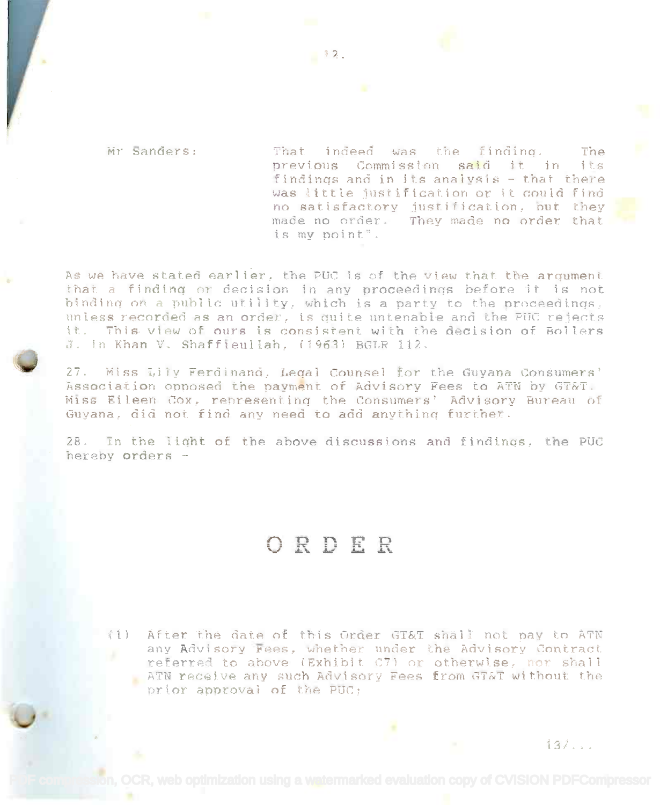Mr Sanders:

That indeed was the finding. The previous Commission said it in its findings and in its analysis - that there was little justification or it could find no satisfactory justification, but they made no order. They made no order that is my point".

As we have stated earlier, the PUC is of the view that the aroument that a finding or decision in any proceedings before it is not binding on a public utility, which is a party to the proceedings. unless recorded as an order, is quite untenable and the PUC relects it. This view of ours is consistent with the decision of Bollers J. in Khan V. Shaffieullah. (1963) BGLR 112.

27. Miss Lily Ferdinand. Legal Counsel for the Guyana Consumers' Association opposed the payment of Advisory Fees to ATN by GT&T. Miss Eileen Cox, representing the Consumers' Advisory Bureau of Guvana, did not find any need to add anything further.

28. In the light of the above discussions and findings, the PUC hereby orders -

## ORDER

子生主 After the date of this Order GT&T shall not nav to ATN any Advisory Fees, whether under the Advisory Contract referred to above (Exhibit C7) or otherwise, nor shall ATN receive any such Advisory Fees from GT&T without the prior approval of the PUC:

 $-12.$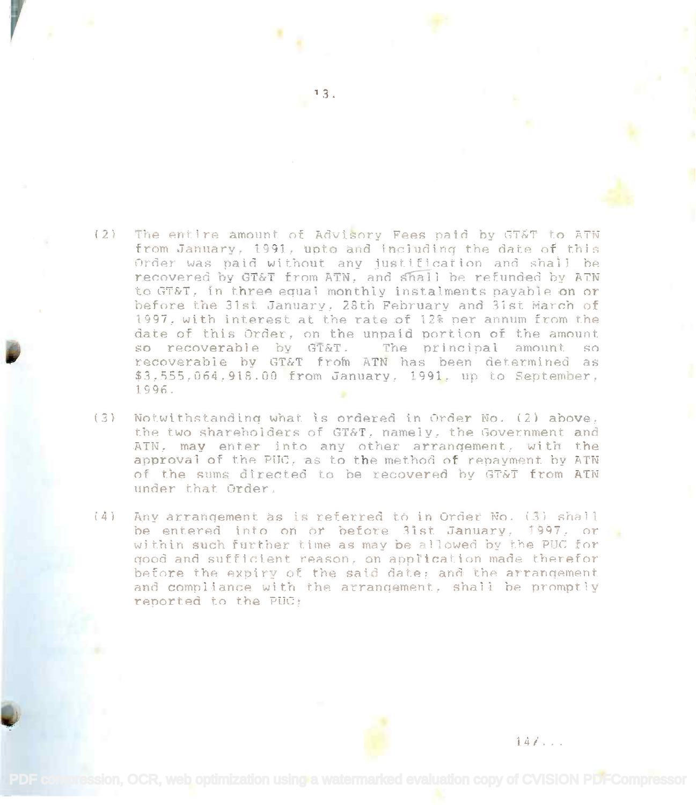- $(2)$ The entire amount of Advisory Fees paid by GT&T to ATN from January. 1991, upto and including the date of this Order was paid without any justification and shall be necovered by GT&T from ATN, and shall be refunded by ATN to GT&T, in three equal monthly instalments payable on or before the 31st January, 28th February and 31st March of 1997, with interest at the rate of 12% ner annum from the date of this Order, on the unpaid portion of the amount so recoverable by GT&T. The principal amount so recoverable by GT&T from ATN has been determined as \$3,555,064.918.00 from January, 1991, up to September, 1996.
- $(3)$ Notwithstanding what is ordered in Order No. (2) above. the two shareholders of GT&T, namely, the Government and AIN. may enter into any other arrangement, with the approval of the PUC, as to the method of repayment by ATN of the sums directed to be recovered by GT&T from ATN under that Order.
- $(4)$ Any arrangement as is referred to in Order No. (3) shall be entered into on or before 31st January, 1997, or within such further time as may be allowed by the PUC for good and sufficient reason, on application made therefor before the expiry of the said date; and the arrangement and compliance with the arrangement, shall be promptly reported to the PUC:

 $13.$ 

 $14/3...$